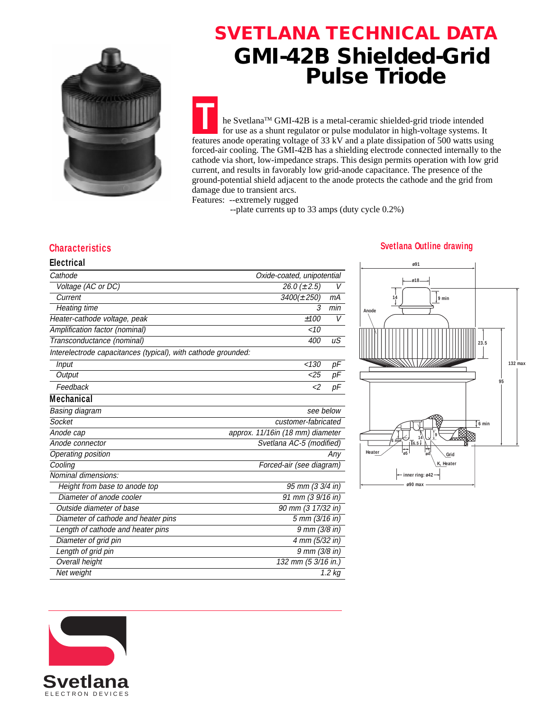

## **SVETLANA TECHNICAL DATA GMI-42B Shielded-Grid Pulse Triode**

**T** he SvetlanaTM GMI-42B is a metal-ceramic shielded-grid triode intended for use as a shunt regulator or pulse modulator in high-voltage systems. It features anode operating voltage of 33 kV and a plate dissipation of 500 watts using forced-air cooling. The GMI-42B has a shielding electrode connected internally to the cathode via short, low-impedance straps. This design permits operation with low grid current, and results in favorably low grid-anode capacitance. The presence of the ground-potential shield adjacent to the anode protects the cathode and the grid from damage due to transient arcs.

Features: --extremely rugged

--plate currents up to 33 amps (duty cycle 0.2%)

**Electrical**

| Cathode                                                       |                                  | Oxide-coated, unipotential |  |
|---------------------------------------------------------------|----------------------------------|----------------------------|--|
| Voltage (AC or DC)                                            | 26.0 ( $\pm$ 2.5)                |                            |  |
| Current                                                       | $3400(\pm 250)$                  | $mA$                       |  |
| Heating time                                                  | 3                                | min                        |  |
| Heater-cathode voltage, peak                                  | ±100                             | V                          |  |
| Amplification factor (nominal)                                | ~10                              |                            |  |
| Transconductance (nominal)                                    | 400                              | иS                         |  |
| Interelectrode capacitances (typical), with cathode grounded: |                                  |                            |  |
| Input                                                         | < 130                            | $p\bar{F}$                 |  |
| Output                                                        | $<$ 25                           | pF                         |  |
| Feedback                                                      | $\epsilon$ 2                     | pF                         |  |
| <b>Mechanical</b>                                             |                                  |                            |  |
| Basing diagram                                                |                                  | see below                  |  |
| Socket                                                        | customer-fabricated              |                            |  |
| Anode cap                                                     | approx. 11/16in (18 mm) diameter |                            |  |
| Anode connector                                               |                                  | Svetlana AC-5 (modified)   |  |
| Operating position                                            |                                  | Any                        |  |
| Cooling                                                       | Forced-air (see diagram)         |                            |  |
| Nominal dimensions:                                           |                                  |                            |  |
| Height from base to anode top                                 |                                  | 95 mm (3 3/4 in)           |  |
| Diameter of anode cooler                                      |                                  | 91 mm (3 9/16 in)          |  |
| Outside diameter of base                                      |                                  | 90 mm (3 17/32 in)         |  |
| Diameter of cathode and heater pins                           |                                  | 5 mm (3/16 in)             |  |
| Length of cathode and heater pins                             |                                  | $9 \, \text{mm}$ (3/8 in)  |  |
| Diameter of grid pin                                          |                                  | 4 mm (5/32 in)             |  |
| Length of grid pin                                            |                                  | 9 mm (3/8 in)              |  |
| <b>Overall height</b>                                         |                                  | 132 mm (5 3/16 in.)        |  |
| Net weight                                                    |                                  | 1.2 kg                     |  |

### **Characteristics Svetlana Outline drawing**